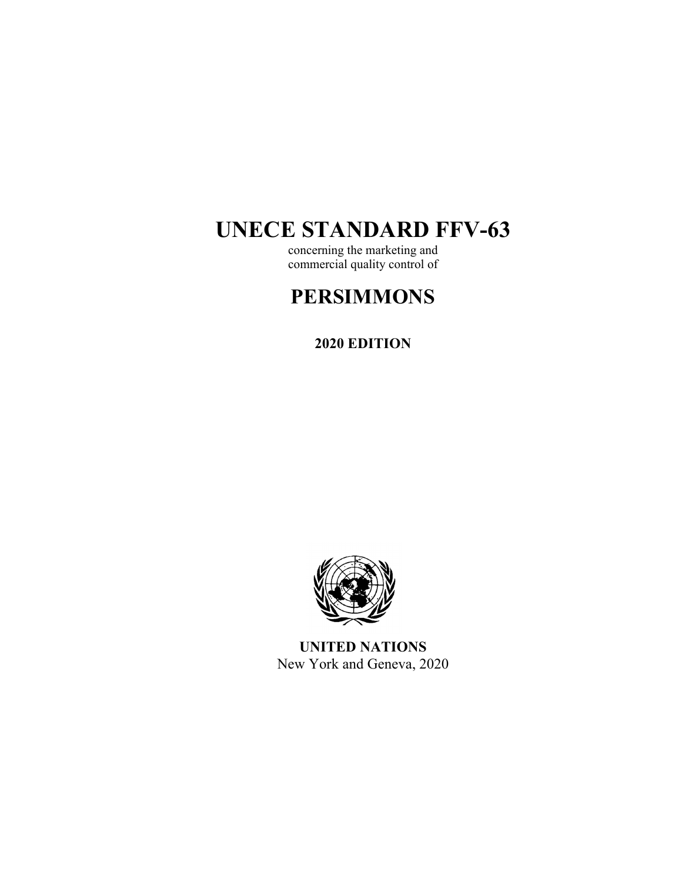# **UNECE STANDARD FFV-63**

concerning the marketing and commercial quality control of

## **PERSIMMONS**

**2020 EDITION** 



**UNITED NATIONS**  New York and Geneva, 2020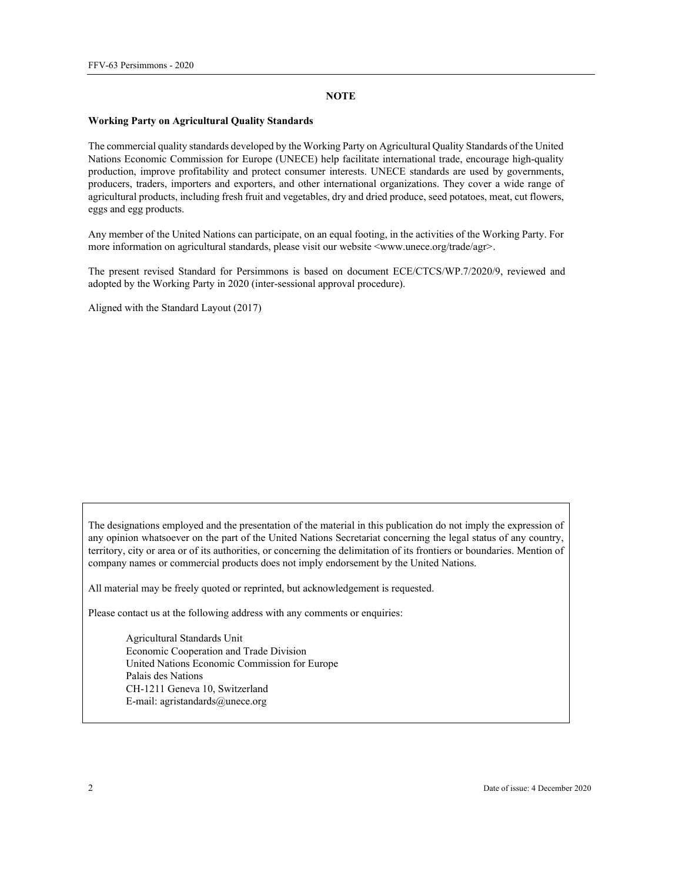#### **NOTE**

#### **Working Party on Agricultural Quality Standards**

The commercial quality standards developed by the Working Party on Agricultural Quality Standards of the United Nations Economic Commission for Europe (UNECE) help facilitate international trade, encourage high-quality production, improve profitability and protect consumer interests. UNECE standards are used by governments, producers, traders, importers and exporters, and other international organizations. They cover a wide range of agricultural products, including fresh fruit and vegetables, dry and dried produce, seed potatoes, meat, cut flowers, eggs and egg products.

Any member of the United Nations can participate, on an equal footing, in the activities of the Working Party. For more information on agricultural standards, please visit our website  $\langle$ www.unece.org/trade/agr>.

The present revised Standard for Persimmons is based on document ECE/CTCS/WP.7/2020/9, reviewed and adopted by the Working Party in 2020 (inter-sessional approval procedure).

Aligned with the Standard Layout (2017)

The designations employed and the presentation of the material in this publication do not imply the expression of any opinion whatsoever on the part of the United Nations Secretariat concerning the legal status of any country, territory, city or area or of its authorities, or concerning the delimitation of its frontiers or boundaries. Mention of company names or commercial products does not imply endorsement by the United Nations.

All material may be freely quoted or reprinted, but acknowledgement is requested.

Please contact us at the following address with any comments or enquiries:

Agricultural Standards Unit Economic Cooperation and Trade Division United Nations Economic Commission for Europe Palais des Nations CH-1211 Geneva 10, Switzerland E-mail: agristandards@unece.org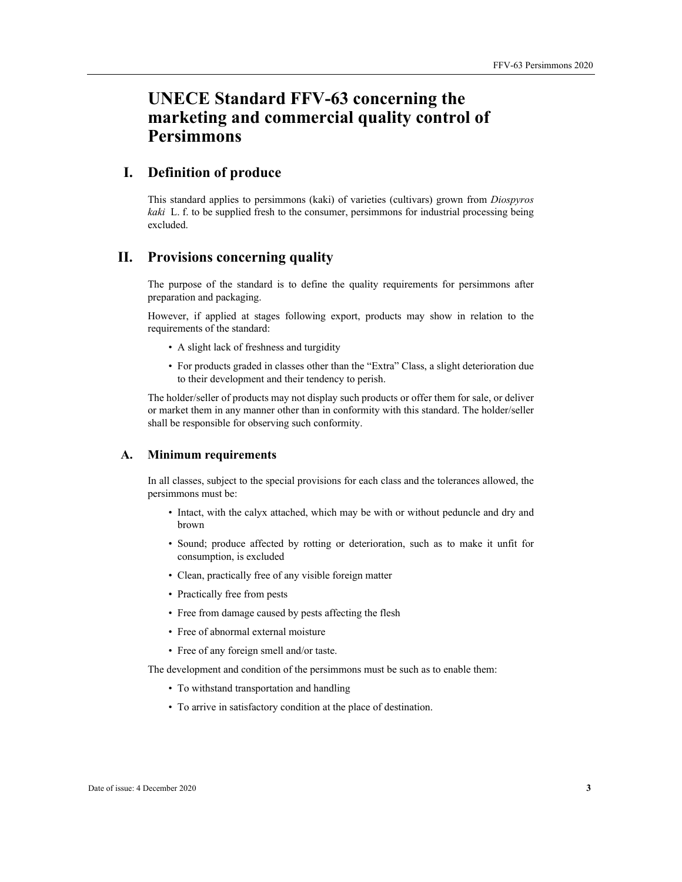## **UNECE Standard FFV-63 concerning the marketing and commercial quality control of Persimmons**

## **I. Definition of produce**

This standard applies to persimmons (kaki) of varieties (cultivars) grown from *Diospyros kaki* L. f. to be supplied fresh to the consumer, persimmons for industrial processing being excluded.

### **II. Provisions concerning quality**

The purpose of the standard is to define the quality requirements for persimmons after preparation and packaging.

However, if applied at stages following export, products may show in relation to the requirements of the standard:

- A slight lack of freshness and turgidity
- For products graded in classes other than the "Extra" Class, a slight deterioration due to their development and their tendency to perish.

The holder/seller of products may not display such products or offer them for sale, or deliver or market them in any manner other than in conformity with this standard. The holder/seller shall be responsible for observing such conformity.

#### **A. Minimum requirements**

In all classes, subject to the special provisions for each class and the tolerances allowed, the persimmons must be:

- Intact, with the calyx attached, which may be with or without peduncle and dry and brown
- Sound; produce affected by rotting or deterioration, such as to make it unfit for consumption, is excluded
- Clean, practically free of any visible foreign matter
- Practically free from pests
- Free from damage caused by pests affecting the flesh
- Free of abnormal external moisture
- Free of any foreign smell and/or taste.

The development and condition of the persimmons must be such as to enable them:

- To withstand transportation and handling
- To arrive in satisfactory condition at the place of destination.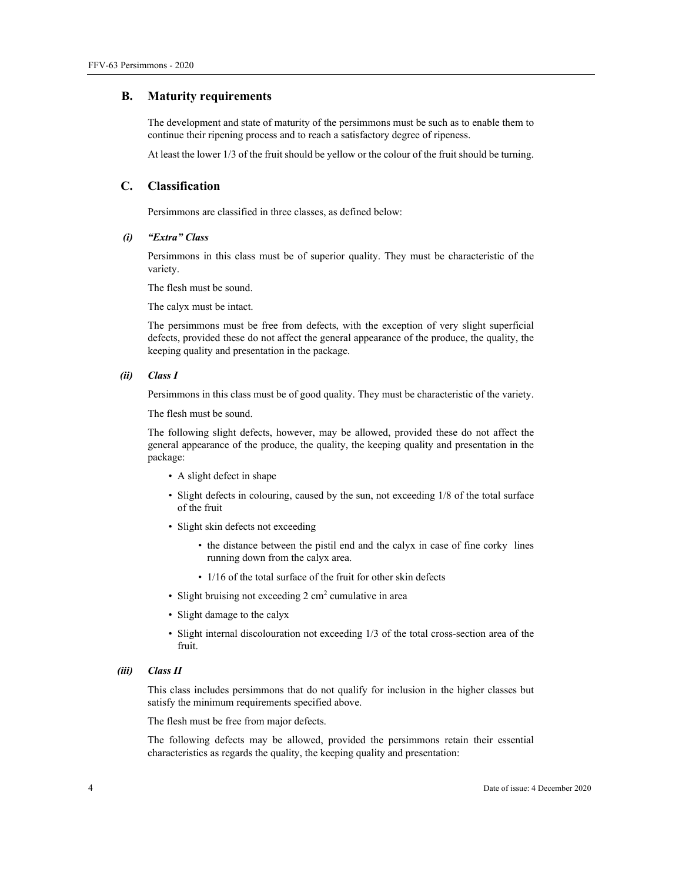#### **B. Maturity requirements**

The development and state of maturity of the persimmons must be such as to enable them to continue their ripening process and to reach a satisfactory degree of ripeness.

At least the lower 1/3 of the fruit should be yellow or the colour of the fruit should be turning.

#### **C. Classification**

Persimmons are classified in three classes, as defined below:

#### *(i) "Extra" Class*

Persimmons in this class must be of superior quality. They must be characteristic of the variety.

The flesh must be sound.

The calyx must be intact.

The persimmons must be free from defects, with the exception of very slight superficial defects, provided these do not affect the general appearance of the produce, the quality, the keeping quality and presentation in the package.

#### *(ii) Class I*

Persimmons in this class must be of good quality. They must be characteristic of the variety.

The flesh must be sound.

The following slight defects, however, may be allowed, provided these do not affect the general appearance of the produce, the quality, the keeping quality and presentation in the package:

- A slight defect in shape
- Slight defects in colouring, caused by the sun, not exceeding 1/8 of the total surface of the fruit
- Slight skin defects not exceeding
	- the distance between the pistil end and the calyx in case of fine corky lines running down from the calyx area.
	- 1/16 of the total surface of the fruit for other skin defects
- Slight bruising not exceeding 2 cm<sup>2</sup> cumulative in area
- Slight damage to the calyx
- Slight internal discolouration not exceeding 1/3 of the total cross-section area of the fruit.
- *(iii) Class II*

This class includes persimmons that do not qualify for inclusion in the higher classes but satisfy the minimum requirements specified above.

The flesh must be free from major defects.

The following defects may be allowed, provided the persimmons retain their essential characteristics as regards the quality, the keeping quality and presentation: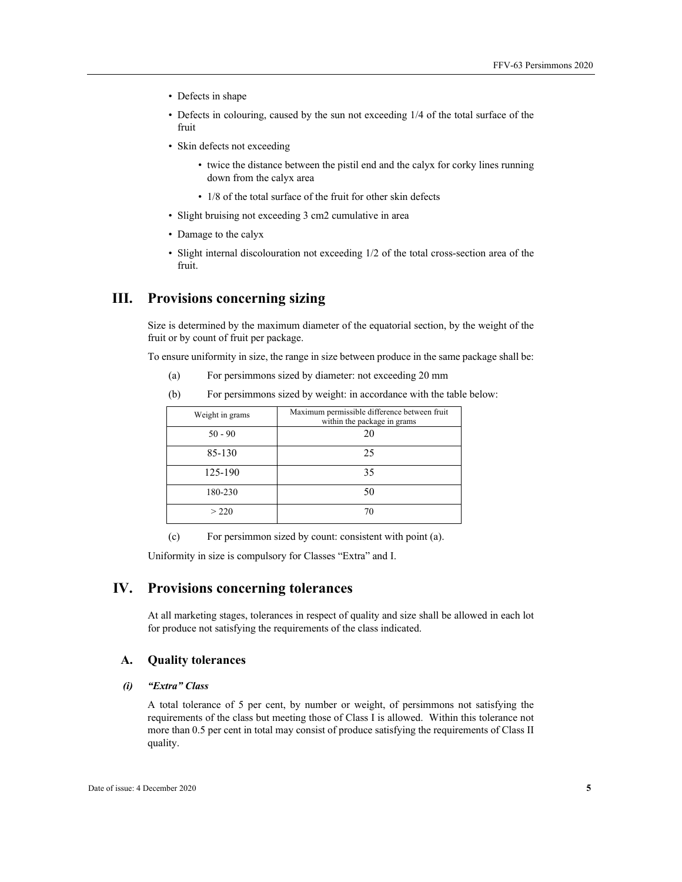- Defects in shape
- Defects in colouring, caused by the sun not exceeding 1/4 of the total surface of the fruit
- Skin defects not exceeding
	- twice the distance between the pistil end and the calyx for corky lines running down from the calyx area
	- 1/8 of the total surface of the fruit for other skin defects
- Slight bruising not exceeding 3 cm2 cumulative in area
- Damage to the calyx
- Slight internal discolouration not exceeding 1/2 of the total cross-section area of the fruit.

## **III. Provisions concerning sizing**

Size is determined by the maximum diameter of the equatorial section, by the weight of the fruit or by count of fruit per package.

To ensure uniformity in size, the range in size between produce in the same package shall be:

- (a) For persimmons sized by diameter: not exceeding 20 mm
- (b) For persimmons sized by weight: in accordance with the table below:

| Weight in grams | Maximum permissible difference between fruit<br>within the package in grams |
|-----------------|-----------------------------------------------------------------------------|
| $50 - 90$       | 20                                                                          |
| 85-130          | 25                                                                          |
| 125-190         | 35                                                                          |
| 180-230         | 50                                                                          |
| > 220           | 70                                                                          |

(c) For persimmon sized by count: consistent with point (a).

Uniformity in size is compulsory for Classes "Extra" and I.

## **IV. Provisions concerning tolerances**

At all marketing stages, tolerances in respect of quality and size shall be allowed in each lot for produce not satisfying the requirements of the class indicated.

#### **A. Quality tolerances**

#### *(i) "Extra" Class*

A total tolerance of 5 per cent, by number or weight, of persimmons not satisfying the requirements of the class but meeting those of Class I is allowed. Within this tolerance not more than 0.5 per cent in total may consist of produce satisfying the requirements of Class II quality.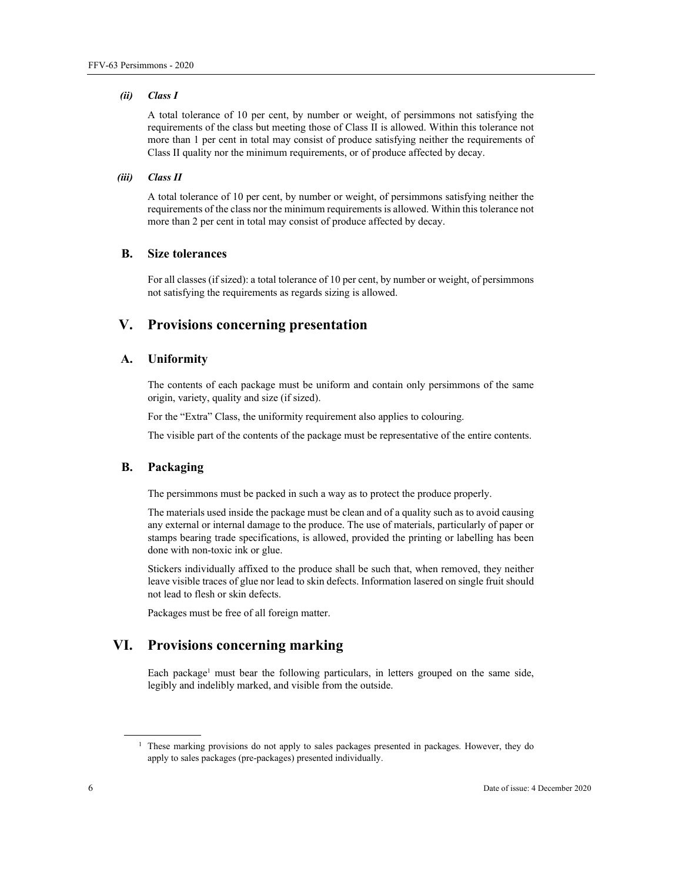#### *(ii) Class I*

A total tolerance of 10 per cent, by number or weight, of persimmons not satisfying the requirements of the class but meeting those of Class II is allowed. Within this tolerance not more than 1 per cent in total may consist of produce satisfying neither the requirements of Class II quality nor the minimum requirements, or of produce affected by decay.

#### *(iii) Class II*

A total tolerance of 10 per cent, by number or weight, of persimmons satisfying neither the requirements of the class nor the minimum requirements is allowed. Within this tolerance not more than 2 per cent in total may consist of produce affected by decay.

#### **B. Size tolerances**

For all classes (if sized): a total tolerance of 10 per cent, by number or weight, of persimmons not satisfying the requirements as regards sizing is allowed.

## **V. Provisions concerning presentation**

#### **A. Uniformity**

The contents of each package must be uniform and contain only persimmons of the same origin, variety, quality and size (if sized).

For the "Extra" Class, the uniformity requirement also applies to colouring.

The visible part of the contents of the package must be representative of the entire contents.

#### **B. Packaging**

The persimmons must be packed in such a way as to protect the produce properly.

The materials used inside the package must be clean and of a quality such as to avoid causing any external or internal damage to the produce. The use of materials, particularly of paper or stamps bearing trade specifications, is allowed, provided the printing or labelling has been done with non-toxic ink or glue.

Stickers individually affixed to the produce shall be such that, when removed, they neither leave visible traces of glue nor lead to skin defects. Information lasered on single fruit should not lead to flesh or skin defects.

Packages must be free of all foreign matter.

## **VI. Provisions concerning marking**

Each package<sup>1</sup> must bear the following particulars, in letters grouped on the same side, legibly and indelibly marked, and visible from the outside.

 $\overline{a}$ 

<sup>&</sup>lt;sup>1</sup> These marking provisions do not apply to sales packages presented in packages. However, they do apply to sales packages (pre-packages) presented individually.